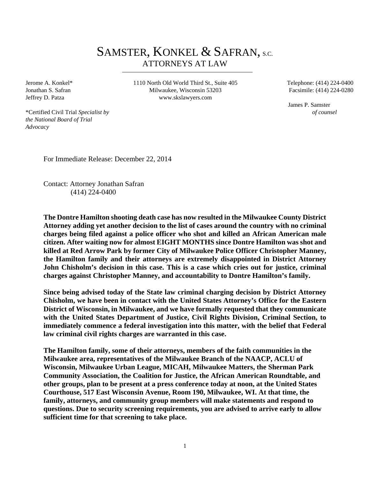# SAMSTER, KONKEL & SAFRAN, S.C. ATTORNEYS AT LAW

Jerome A. Konkel\* Jonathan S. Safran Jeffrey D. Patza

1110 North Old World Third St., Suite 405 Milwaukee, Wisconsin 53203 www.skslawyers.com

 Telephone: (414) 224-0400 Facsimile: (414) 224-0280

 James P. Samster  *of counsel* 

\*Certified Civil Trial *Specialist by the National Board of Trial Advocacy* 

For Immediate Release: December 22, 2014

Contact: Attorney Jonathan Safran (414) 224-0400

**The Dontre Hamilton shooting death case has now resulted in the Milwaukee County District Attorney adding yet another decision to the list of cases around the country with no criminal charges being filed against a police officer who shot and killed an African American male citizen. After waiting now for almost EIGHT MONTHS since Dontre Hamilton was shot and killed at Red Arrow Park by former City of Milwaukee Police Officer Christopher Manney, the Hamilton family and their attorneys are extremely disappointed in District Attorney John Chisholm's decision in this case. This is a case which cries out for justice, criminal charges against Christopher Manney, and accountability to Dontre Hamilton's family.** 

**Since being advised today of the State law criminal charging decision by District Attorney Chisholm, we have been in contact with the United States Attorney's Office for the Eastern District of Wisconsin, in Milwaukee, and we have formally requested that they communicate with the United States Department of Justice, Civil Rights Division, Criminal Section, to immediately commence a federal investigation into this matter, with the belief that Federal law criminal civil rights charges are warranted in this case.** 

**The Hamilton family, some of their attorneys, members of the faith communities in the Milwaukee area, representatives of the Milwaukee Branch of the NAACP, ACLU of Wisconsin, Milwaukee Urban League, MICAH, Milwaukee Matters, the Sherman Park Community Association, the Coalition for Justice, the African American Roundtable, and other groups, plan to be present at a press conference today at noon, at the United States Courthouse, 517 East Wisconsin Avenue, Room 190, Milwaukee, WI. At that time, the family, attorneys, and community group members will make statements and respond to questions. Due to security screening requirements, you are advised to arrive early to allow sufficient time for that screening to take place.**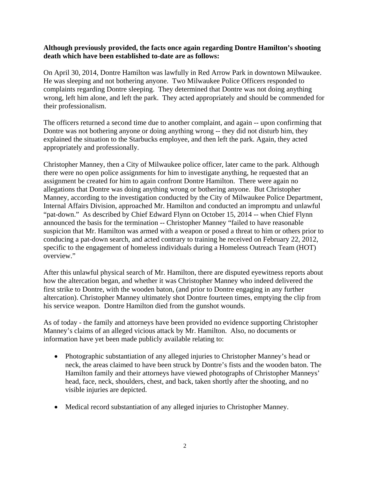#### **Although previously provided, the facts once again regarding Dontre Hamilton's shooting death which have been established to-date are as follows:**

On April 30, 2014, Dontre Hamilton was lawfully in Red Arrow Park in downtown Milwaukee. He was sleeping and not bothering anyone. Two Milwaukee Police Officers responded to complaints regarding Dontre sleeping. They determined that Dontre was not doing anything wrong, left him alone, and left the park. They acted appropriately and should be commended for their professionalism.

The officers returned a second time due to another complaint, and again -- upon confirming that Dontre was not bothering anyone or doing anything wrong -- they did not disturb him, they explained the situation to the Starbucks employee, and then left the park. Again, they acted appropriately and professionally.

Christopher Manney, then a City of Milwaukee police officer, later came to the park. Although there were no open police assignments for him to investigate anything, he requested that an assignment be created for him to again confront Dontre Hamilton. There were again no allegations that Dontre was doing anything wrong or bothering anyone. But Christopher Manney, according to the investigation conducted by the City of Milwaukee Police Department, Internal Affairs Division, approached Mr. Hamilton and conducted an impromptu and unlawful "pat-down." As described by Chief Edward Flynn on October 15, 2014 -- when Chief Flynn announced the basis for the termination -- Christopher Manney "failed to have reasonable suspicion that Mr. Hamilton was armed with a weapon or posed a threat to him or others prior to conducing a pat-down search, and acted contrary to training he received on February 22, 2012, specific to the engagement of homeless individuals during a Homeless Outreach Team (HOT) overview."

After this unlawful physical search of Mr. Hamilton, there are disputed eyewitness reports about how the altercation began, and whether it was Christopher Manney who indeed delivered the first strike to Dontre, with the wooden baton, (and prior to Dontre engaging in any further altercation). Christopher Manney ultimately shot Dontre fourteen times, emptying the clip from his service weapon. Dontre Hamilton died from the gunshot wounds.

As of today - the family and attorneys have been provided no evidence supporting Christopher Manney's claims of an alleged vicious attack by Mr. Hamilton. Also, no documents or information have yet been made publicly available relating to:

- Photographic substantiation of any alleged injuries to Christopher Manney's head or neck, the areas claimed to have been struck by Dontre's fists and the wooden baton. The Hamilton family and their attorneys have viewed photographs of Christopher Manneys' head, face, neck, shoulders, chest, and back, taken shortly after the shooting, and no visible injuries are depicted.
- Medical record substantiation of any alleged injuries to Christopher Manney.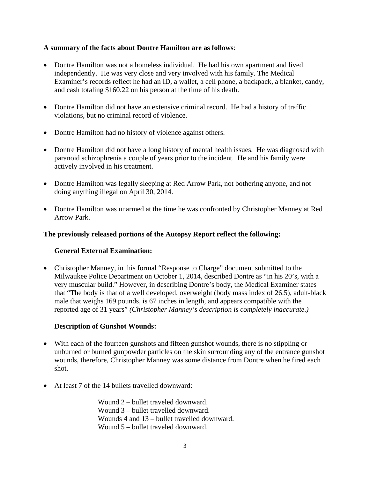## **A summary of the facts about Dontre Hamilton are as follows**:

- Dontre Hamilton was not a homeless individual. He had his own apartment and lived independently. He was very close and very involved with his family. The Medical Examiner's records reflect he had an ID, a wallet, a cell phone, a backpack, a blanket, candy, and cash totaling \$160.22 on his person at the time of his death.
- Dontre Hamilton did not have an extensive criminal record. He had a history of traffic violations, but no criminal record of violence.
- Dontre Hamilton had no history of violence against others.
- Dontre Hamilton did not have a long history of mental health issues. He was diagnosed with paranoid schizophrenia a couple of years prior to the incident. He and his family were actively involved in his treatment.
- Dontre Hamilton was legally sleeping at Red Arrow Park, not bothering anyone, and not doing anything illegal on April 30, 2014.
- Dontre Hamilton was unarmed at the time he was confronted by Christopher Manney at Red Arrow Park.

## **The previously released portions of the Autopsy Report reflect the following:**

# **General External Examination:**

 Christopher Manney, in his formal "Response to Charge" document submitted to the Milwaukee Police Department on October 1, 2014, described Dontre as "in his 20's, with a very muscular build." However, in describing Dontre's body, the Medical Examiner states that "The body is that of a well developed, overweight (body mass index of 26.5), adult-black male that weighs 169 pounds, is 67 inches in length, and appears compatible with the reported age of 31 years" *(Christopher Manney's description is completely inaccurate.)* 

#### **Description of Gunshot Wounds:**

- With each of the fourteen gunshots and fifteen gunshot wounds, there is no stippling or unburned or burned gunpowder particles on the skin surrounding any of the entrance gunshot wounds, therefore, Christopher Manney was some distance from Dontre when he fired each shot.
- At least 7 of the 14 bullets travelled downward:

 Wound 2 – bullet traveled downward. Wound 3 – bullet travelled downward. Wounds 4 and 13 – bullet travelled downward. Wound 5 – bullet traveled downward.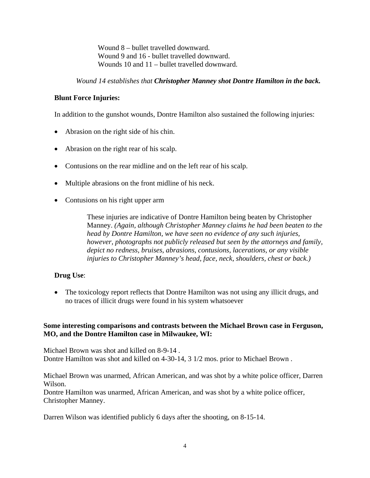Wound 8 – bullet travelled downward. Wound 9 and 16 - bullet travelled downward. Wounds 10 and 11 – bullet travelled downward.

## *Wound 14 establishes that Christopher Manney shot Dontre Hamilton in the back.*

# **Blunt Force Injuries:**

In addition to the gunshot wounds, Dontre Hamilton also sustained the following injuries:

- Abrasion on the right side of his chin.
- Abrasion on the right rear of his scalp.
- Contusions on the rear midline and on the left rear of his scalp.
- Multiple abrasions on the front midline of his neck.
- Contusions on his right upper arm

These injuries are indicative of Dontre Hamilton being beaten by Christopher Manney. *(Again, although Christopher Manney claims he had been beaten to the head by Dontre Hamilton, we have seen no evidence of any such injuries, however, photographs not publicly released but seen by the attorneys and family, depict no redness, bruises, abrasions, contusions, lacerations, or any visible injuries to Christopher Manney's head, face, neck, shoulders, chest or back.)* 

# **Drug Use**:

• The toxicology report reflects that Dontre Hamilton was not using any illicit drugs, and no traces of illicit drugs were found in his system whatsoever

## **Some interesting comparisons and contrasts between the Michael Brown case in Ferguson, MO, and the Dontre Hamilton case in Milwaukee, WI:**

Michael Brown was shot and killed on 8-9-14 . Dontre Hamilton was shot and killed on 4-30-14, 3 1/2 mos. prior to Michael Brown .

Michael Brown was unarmed, African American, and was shot by a white police officer, Darren Wilson.

Dontre Hamilton was unarmed, African American, and was shot by a white police officer, Christopher Manney.

Darren Wilson was identified publicly 6 days after the shooting, on 8-15-14.